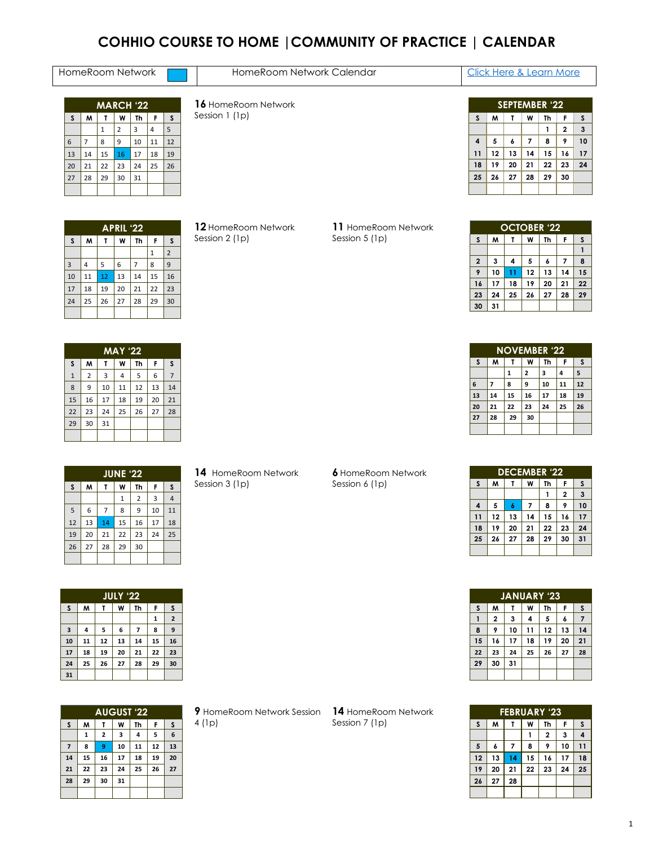# **COHHIO COURSE TO HOME |COMMUNITY OF PRACTICE | CALENDAR**

| HomeRoom Network | HomeRoom Network Calendar | Here & Learn More |
|------------------|---------------------------|-------------------|
|                  |                           |                   |

| <b>MARCH '22</b> |    |                   |                |    |    |    |  |  |  |  |  |
|------------------|----|-------------------|----------------|----|----|----|--|--|--|--|--|
| S                | M  | F<br>W<br>Th<br>Τ |                |    |    |    |  |  |  |  |  |
|                  |    | 1                 | $\overline{2}$ | 3  | 4  | 5  |  |  |  |  |  |
| 6                | 7  | 8                 | 9              | 10 | 11 | 12 |  |  |  |  |  |
| 13               | 14 | 15                | 16             | 17 | 18 | 19 |  |  |  |  |  |
| 20               | 21 | 22                | 23             | 24 | 25 | 26 |  |  |  |  |  |
| 27               | 28 | 29                | 30             | 31 |    |    |  |  |  |  |  |
|                  |    |                   |                |    |    |    |  |  |  |  |  |

 HomeRoom Network Session 1 (1p)

|                | <b>SEPTEMBER '22</b> |    |    |    |                |    |  |  |  |  |  |
|----------------|----------------------|----|----|----|----------------|----|--|--|--|--|--|
| S              | M                    | т  | W  | Th | F              | S  |  |  |  |  |  |
|                |                      |    |    |    | $\overline{2}$ | 3  |  |  |  |  |  |
| $\overline{a}$ | 5                    | 6  | 7  | 8  | 9              | 10 |  |  |  |  |  |
| 11             | 12                   | 13 | 14 | 15 | 16             | 17 |  |  |  |  |  |
| 18             | 19                   | 20 | 21 | 22 | 23             | 24 |  |  |  |  |  |
| 25             | 26                   | 27 | 28 | 29 | 30             |    |  |  |  |  |  |
|                |                      |    |    |    |                |    |  |  |  |  |  |

|    | <b>APRIL '22</b> |    |    |                |    |                |  |  |  |  |  |  |
|----|------------------|----|----|----------------|----|----------------|--|--|--|--|--|--|
| S  | M                | т  | W  | Th             | F  | S              |  |  |  |  |  |  |
|    |                  |    |    |                | 1  | $\overline{2}$ |  |  |  |  |  |  |
| 3  | 4                | 5  | 6  | $\overline{7}$ | 8  | 9              |  |  |  |  |  |  |
| 10 | 11               | 12 | 13 | 14             | 15 | 16             |  |  |  |  |  |  |
| 17 | 18               | 19 | 20 | 21             | 22 | 23             |  |  |  |  |  |  |
| 24 | 25               | 26 | 27 | 28             | 29 | 30             |  |  |  |  |  |  |
|    |                  |    |    |                |    |                |  |  |  |  |  |  |

**MAY '22 S M T W Th F S** 1 2 3 4 5 6 7 9 10 11 12 13 14 16 17 18 19 20 21 23 24 25 26 27 28

 $29 \ 30 \ 31$ 

 HomeRoom Network Session 2 (1p)

## HomeRoom Network Session 5 (1p)

|                         | <b>OCTOBER '22</b>          |    |    |    |    |    |  |  |  |  |  |  |
|-------------------------|-----------------------------|----|----|----|----|----|--|--|--|--|--|--|
| S                       | Th<br>M<br>W<br>F<br>S<br>T |    |    |    |    |    |  |  |  |  |  |  |
|                         |                             |    |    |    |    |    |  |  |  |  |  |  |
| $\overline{\mathbf{2}}$ | 3                           | 4  | 5  | 6  | 7  | 8  |  |  |  |  |  |  |
| 9                       | 10                          | 11 | 12 | 13 | 14 | 15 |  |  |  |  |  |  |
| 16                      | 17                          | 18 | 19 | 20 | 21 | 22 |  |  |  |  |  |  |
| 23                      | 24                          | 25 | 26 | 27 | 28 | 29 |  |  |  |  |  |  |
| 30                      | 31                          |    |    |    |    |    |  |  |  |  |  |  |

| <b>NOVEMBER '22</b><br>Th<br>W<br>M<br>×.<br>2<br>з<br>4<br>10<br>7<br>11<br>9<br>$\bullet$<br>õ<br>14<br>17<br>15<br>16<br>21<br>23<br>24<br>22 |    |  |    |    |  |    |    |
|--------------------------------------------------------------------------------------------------------------------------------------------------|----|--|----|----|--|----|----|
|                                                                                                                                                  |    |  |    |    |  |    |    |
|                                                                                                                                                  | 6  |  |    |    |  |    | 12 |
|                                                                                                                                                  | 13 |  |    |    |  | 18 | 19 |
|                                                                                                                                                  | 20 |  |    |    |  | 25 | 26 |
| 28                                                                                                                                               | 27 |  | 29 | 30 |  |    |    |
|                                                                                                                                                  |    |  |    |    |  |    |    |

|    | <b>JUNE '22</b> |    |    |                |    |    |  |  |  |  |  |  |
|----|-----------------|----|----|----------------|----|----|--|--|--|--|--|--|
| S  | M               | T  | W  | Th             | F  | S  |  |  |  |  |  |  |
|    |                 |    | 1  | $\overline{2}$ | 3  | 4  |  |  |  |  |  |  |
| 5  | 6               | 7  | 8  | 9              | 10 | 11 |  |  |  |  |  |  |
| 12 | 13              | 14 | 15 | 16             | 17 | 18 |  |  |  |  |  |  |
| 19 | 20              | 21 | 22 | 23             | 24 | 25 |  |  |  |  |  |  |
| 26 | 27              | 28 | 29 | 30             |    |    |  |  |  |  |  |  |
|    |                 |    |    |                |    |    |  |  |  |  |  |  |

**JULY '22 S M T W Th F S 2 4 5 6 7 8 9 11 12 13 14 15 16 18 19 20 21 22 23 25 26 27 28 29 30** 

|                | <b>AUGUST '22</b> |                |    |    |    |    |  |  |  |  |  |  |
|----------------|-------------------|----------------|----|----|----|----|--|--|--|--|--|--|
| S              | M                 | T              | W  | Th | F  | S  |  |  |  |  |  |  |
|                | 1                 | $\overline{2}$ | 3  | 4  | 5  | 6  |  |  |  |  |  |  |
| $\overline{7}$ | 8                 | 9              | 10 | 11 | 12 | 13 |  |  |  |  |  |  |
| 14             | 15                | 16             | 17 | 18 | 19 | 20 |  |  |  |  |  |  |
| 21             | 22                | 23             | 24 | 25 | 26 | 27 |  |  |  |  |  |  |
| 28             | 29                | 30             | 31 |    |    |    |  |  |  |  |  |  |
|                |                   |                |    |    |    |    |  |  |  |  |  |  |

HomeRoom Network Session 3 (1p)

### HomeRoom Network Session 6 (1p)

|    | <b>DECEMBER '22</b>    |    |    |    |                |    |  |  |  |  |  |  |
|----|------------------------|----|----|----|----------------|----|--|--|--|--|--|--|
| S  | м<br>F<br>W<br>Th<br>Τ |    |    |    |                |    |  |  |  |  |  |  |
|    |                        |    |    |    | $\overline{2}$ | 3  |  |  |  |  |  |  |
| 4  | 5                      | 6  | 7  | 8  | 9              | 10 |  |  |  |  |  |  |
| 11 | 12                     | 13 | 14 | 15 | 16             | 17 |  |  |  |  |  |  |
| 18 | 19                     | 20 | 21 | 22 | 23             | 24 |  |  |  |  |  |  |
| 25 | 26                     | 27 | 28 | 29 | 30             | 31 |  |  |  |  |  |  |
|    |                        |    |    |    |                |    |  |  |  |  |  |  |

|    | <b>JANUARY '23</b> |    |    |    |    |    |  |  |  |  |  |  |
|----|--------------------|----|----|----|----|----|--|--|--|--|--|--|
| S  | M                  | T  | W  | Th | F  | S  |  |  |  |  |  |  |
|    | $\overline{2}$     | 3  | 4  | 5  | 6  | 7  |  |  |  |  |  |  |
| 8  | 9                  | 10 | 11 | 12 | 13 | 14 |  |  |  |  |  |  |
| 15 | 16                 | 17 | 18 | 19 | 20 | 21 |  |  |  |  |  |  |
| 22 | 23                 | 24 | 25 | 26 | 27 | 28 |  |  |  |  |  |  |
| 29 | 30                 | 31 |    |    |    |    |  |  |  |  |  |  |
|    |                    |    |    |    |    |    |  |  |  |  |  |  |

**FEBRUARY '23 S M T W Th F S**  $1 \t2 \t3 \t4$  **6 7 8 9 10 11 13 14 15 16 17 18 20 21 22 23 24 25 27 28**

HomeRoom Network Session **14** HomeRoom Network (1p)

Session 7 (1p)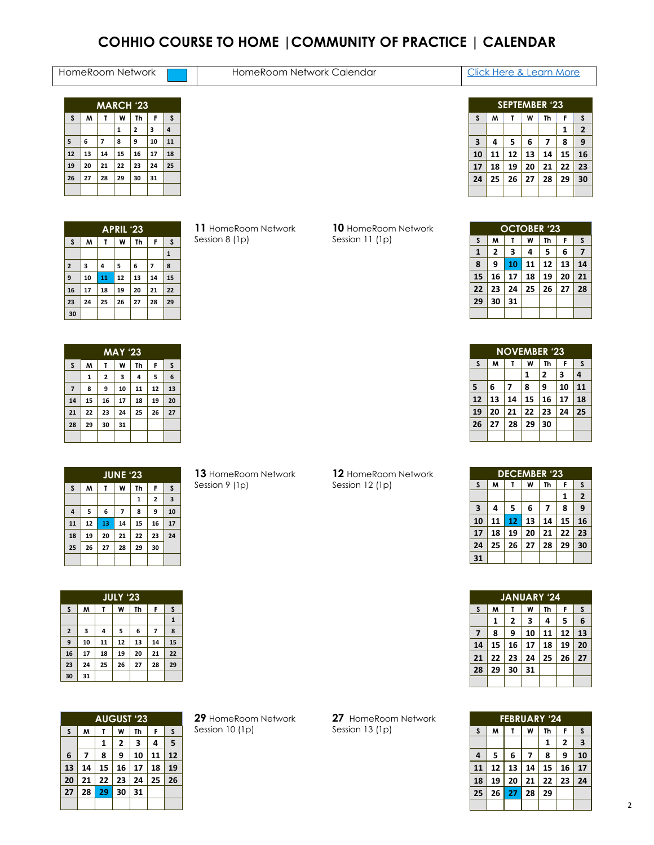# **COHHIO COURSE TO HOME |COMMUNITY OF PRACTICE | CALENDAR**

## HomeRoom Network **HomeRoom Network Calendar** Click Here & Learn More

| <b>MARCH '23</b> |    |                |    |    |    |    |  |  |  |  |  |
|------------------|----|----------------|----|----|----|----|--|--|--|--|--|
| S                | M  | т              | W  | Th | F  | S  |  |  |  |  |  |
|                  |    |                | 1  | 2  | 3  | 4  |  |  |  |  |  |
| 5                | 6  | $\overline{ }$ | 8  | 9  | 10 | 11 |  |  |  |  |  |
| 12               | 13 | 14             | 15 | 16 | 17 | 18 |  |  |  |  |  |
| 19               | 20 | 21             | 22 | 23 | 24 | 25 |  |  |  |  |  |
| 26               | 27 | 28             | 29 | 30 | 31 |    |  |  |  |  |  |
|                  |    |                |    |    |    |    |  |  |  |  |  |

|                         | <b>SEPTEMBER '23</b>   |    |    |    |              |                         |  |  |  |  |
|-------------------------|------------------------|----|----|----|--------------|-------------------------|--|--|--|--|
| S                       | S<br>F<br>M<br>W<br>Th |    |    |    |              |                         |  |  |  |  |
|                         |                        |    |    |    | $\mathbf{1}$ | $\overline{\mathbf{2}}$ |  |  |  |  |
| $\overline{\mathbf{3}}$ | 4                      | 5  | 6  | 7  | 8            | 9                       |  |  |  |  |
| 10                      | 11                     | 12 | 13 | 14 | 15           | 16                      |  |  |  |  |
| 17                      | 18                     | 19 | 20 | 21 | 22           | 23                      |  |  |  |  |
| 24                      | 25                     | 26 | 27 | 28 | 29           | 30                      |  |  |  |  |
|                         |                        |    |    |    |              |                         |  |  |  |  |

|                         | <b>APRIL '23</b> |                        |    |    |                |              |  |  |  |  |
|-------------------------|------------------|------------------------|----|----|----------------|--------------|--|--|--|--|
| S                       | W                | F<br>W<br>Th<br>S<br>Т |    |    |                |              |  |  |  |  |
|                         |                  |                        |    |    |                | $\mathbf{1}$ |  |  |  |  |
| $\overline{\mathbf{c}}$ | 3                | 4                      | 5  | 6  | $\overline{ }$ | 8            |  |  |  |  |
| 9                       | 10               | 11                     | 12 | 13 | 14             | 15           |  |  |  |  |
| 16                      | 17               | 18                     | 19 | 20 | 21             | 22           |  |  |  |  |
| 23                      | 24               | 25                     | 26 | 27 | 28             | 29           |  |  |  |  |
| 30                      |                  |                        |    |    |                |              |  |  |  |  |

 HomeRoom Network Session 8 (1p)

## HomeRoom Network Session 11 (1p)

|    | <b>OCTOBER '23</b> |    |    |    |    |    |  |  |  |
|----|--------------------|----|----|----|----|----|--|--|--|
| S  | M                  | Т  | W  | Th | F  | S  |  |  |  |
| 1  | 2                  | 3  | 4  | 5  | 6  | 7  |  |  |  |
| 8  | 9                  | 10 | 11 | 12 | 13 | 14 |  |  |  |
| 15 | 16                 | 17 | 18 | 19 | 20 | 21 |  |  |  |
| 22 | 23                 | 24 | 25 | 26 | 27 | 28 |  |  |  |
| 29 | 30                 | 31 |    |    |    |    |  |  |  |
|    |                    |    |    |    |    |    |  |  |  |

| <b>MAY '23</b>          |    |    |    |    |    |    |  |  |
|-------------------------|----|----|----|----|----|----|--|--|
| <sub>S</sub>            | M  | τ  | W  | Th | F  | S  |  |  |
|                         | 1  | 2  | з  | 4  | 5  | 6  |  |  |
| $\overline{\mathbf{z}}$ | 8  | 9  | 10 | 11 | 12 | 13 |  |  |
| 14                      | 15 | 16 | 17 | 18 | 19 | 20 |  |  |
| 21                      | 22 | 23 | 24 | 25 | 26 | 27 |  |  |
| 28                      | 29 | 30 | 31 |    |    |    |  |  |
|                         |    |    |    |    |    |    |  |  |

|                | <b>JUNE '23</b> |    |                          |              |    |                         |  |  |  |  |
|----------------|-----------------|----|--------------------------|--------------|----|-------------------------|--|--|--|--|
| S              | M               | T  | W                        | Th           | F  | S                       |  |  |  |  |
|                |                 |    |                          | $\mathbf{1}$ | 2  | $\overline{\mathbf{3}}$ |  |  |  |  |
| $\overline{4}$ | 5               | 6  | $\overline{\phantom{a}}$ | 8            | 9  | 10                      |  |  |  |  |
| 11             | 12              | 13 | 14                       | 15           | 16 | 17                      |  |  |  |  |
| 18             | 19              | 20 | 21                       | 22           | 23 | 24                      |  |  |  |  |
| 25             | 26              | 27 | 28                       | 29           | 30 |                         |  |  |  |  |
|                |                 |    |                          |              |    |                         |  |  |  |  |

HomeRoom Network Session 9 (1p)

HomeRoom Network

Session 12 (1p)

|    | <b>NOVEMBER '23</b> |    |    |    |    |    |  |  |  |
|----|---------------------|----|----|----|----|----|--|--|--|
| S  | M                   | т  | W  | Th | F  | S  |  |  |  |
|    |                     |    | 1  | 2  | 3  | 4  |  |  |  |
| 5  | 6                   | 7  | 8  | 9  | 10 | 11 |  |  |  |
| 12 | 13                  | 14 | 15 | 16 | 17 | 18 |  |  |  |
| 19 | 20                  | 21 | 22 | 23 | 24 | 25 |  |  |  |
| 26 | 27                  | 28 | 29 | 30 |    |    |  |  |  |
|    |                     |    |    |    |    |    |  |  |  |

|                         | <b>DECEMBER '23</b> |                        |    |    |    |              |  |  |  |
|-------------------------|---------------------|------------------------|----|----|----|--------------|--|--|--|
| S                       | M                   | W<br>Th<br>F<br>S<br>т |    |    |    |              |  |  |  |
|                         |                     |                        |    |    | 1  | $\mathbf{2}$ |  |  |  |
| $\overline{\mathbf{3}}$ | 4                   | 5                      | 6  | 7  | 8  | 9            |  |  |  |
| 10                      | 11                  | 12                     | 13 | 14 | 15 | 16           |  |  |  |
| 17                      | 18                  | 19                     | 20 | 21 | 22 | 23           |  |  |  |
| 24                      | 25                  | 26                     | 27 | 28 | 29 | 30           |  |  |  |
| 31                      |                     |                        |    |    |    |              |  |  |  |

|    | <b>JANUARY '24</b> |    |    |    |    |    |  |  |  |
|----|--------------------|----|----|----|----|----|--|--|--|
| S  | M                  | т  | W  | Th | F  | S  |  |  |  |
|    | 1                  | 2  | 3  | 4  | 5  | 6  |  |  |  |
| 7  | 8                  | 9  | 10 | 11 | 12 | 13 |  |  |  |
| 14 | 15                 | 16 | 17 | 18 | 19 | 20 |  |  |  |
| 21 | 22                 | 23 | 24 | 25 | 26 | 27 |  |  |  |
| 28 | 29                 | 30 | 31 |    |    |    |  |  |  |
|    |                    |    |    |    |    |    |  |  |  |

|    | <b>FEBRUARY '24</b>         |    |    |    |    |    |  |  |  |  |
|----|-----------------------------|----|----|----|----|----|--|--|--|--|
| S  | F<br>M<br>W<br>Th<br>S<br>т |    |    |    |    |    |  |  |  |  |
|    |                             |    |    | 1  | 2  | 3  |  |  |  |  |
| 4  | 5                           | 6  | 7  | 8  | 9  | 10 |  |  |  |  |
| 11 | 12                          | 13 | 14 | 15 | 16 | 17 |  |  |  |  |
| 18 | 19                          | 20 | 21 | 22 | 23 | 24 |  |  |  |  |
| 25 | 26                          | 27 | 28 | 29 |    |    |  |  |  |  |
|    |                             |    |    |    |    |    |  |  |  |  |

|             | <b>JULY '23</b>             |    |    |    |    |              |  |  |  |  |
|-------------|-----------------------------|----|----|----|----|--------------|--|--|--|--|
| S           | M<br>F<br>W<br>Th<br>S<br>T |    |    |    |    |              |  |  |  |  |
|             |                             |    |    |    |    | $\mathbf{1}$ |  |  |  |  |
| $\mathbf 2$ | 3                           | 4  | 5  | 6  | 7  | 8            |  |  |  |  |
| 9           | 10                          | 11 | 12 | 13 | 14 | 15           |  |  |  |  |
| 16          | 17                          | 18 | 19 | 20 | 21 | 22           |  |  |  |  |
| 23          | 24                          | 25 | 26 | 27 | 28 | 29           |  |  |  |  |
| 30          | 31                          |    |    |    |    |              |  |  |  |  |

| <b>AUGUST '23</b> |    |                        |    |    |    |    |  |  |
|-------------------|----|------------------------|----|----|----|----|--|--|
| S                 | M  | F<br>S<br>Th<br>W<br>T |    |    |    |    |  |  |
|                   |    | 1                      | 2  | 3  | 4  | 5  |  |  |
| 6                 | 7  | 8                      | 9  | 10 | 11 | 12 |  |  |
| 13                | 14 | 15                     | 16 | 17 | 18 | 19 |  |  |
| 20                | 21 | 22                     | 23 | 24 | 25 | 26 |  |  |
| 27                | 28 | 29                     | 30 | 31 |    |    |  |  |
|                   |    |                        |    |    |    |    |  |  |

 HomeRoom Network Session 10 (1p)

HomeRoom Network Session 13 (1p)